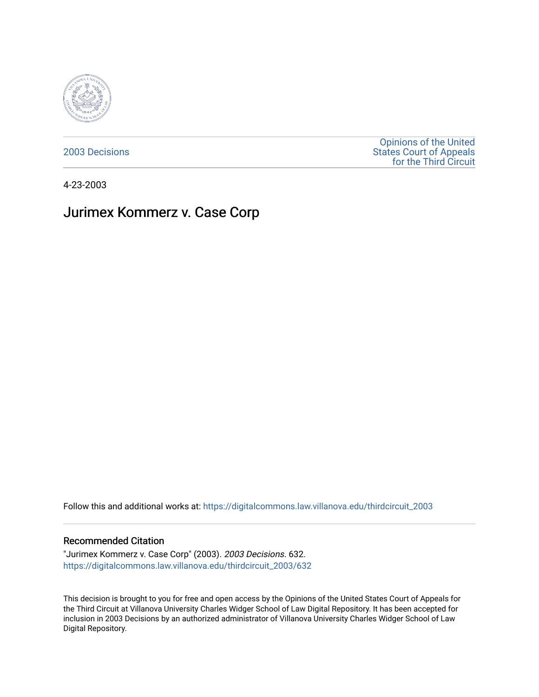

[2003 Decisions](https://digitalcommons.law.villanova.edu/thirdcircuit_2003)

[Opinions of the United](https://digitalcommons.law.villanova.edu/thirdcircuit)  [States Court of Appeals](https://digitalcommons.law.villanova.edu/thirdcircuit)  [for the Third Circuit](https://digitalcommons.law.villanova.edu/thirdcircuit) 

4-23-2003

# Jurimex Kommerz v. Case Corp

Follow this and additional works at: [https://digitalcommons.law.villanova.edu/thirdcircuit\\_2003](https://digitalcommons.law.villanova.edu/thirdcircuit_2003?utm_source=digitalcommons.law.villanova.edu%2Fthirdcircuit_2003%2F632&utm_medium=PDF&utm_campaign=PDFCoverPages) 

#### Recommended Citation

"Jurimex Kommerz v. Case Corp" (2003). 2003 Decisions. 632. [https://digitalcommons.law.villanova.edu/thirdcircuit\\_2003/632](https://digitalcommons.law.villanova.edu/thirdcircuit_2003/632?utm_source=digitalcommons.law.villanova.edu%2Fthirdcircuit_2003%2F632&utm_medium=PDF&utm_campaign=PDFCoverPages)

This decision is brought to you for free and open access by the Opinions of the United States Court of Appeals for the Third Circuit at Villanova University Charles Widger School of Law Digital Repository. It has been accepted for inclusion in 2003 Decisions by an authorized administrator of Villanova University Charles Widger School of Law Digital Repository.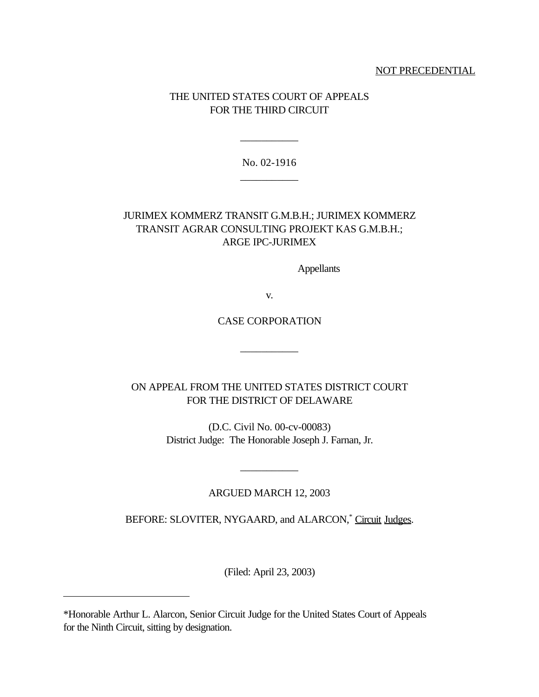#### NOT PRECEDENTIAL

# THE UNITED STATES COURT OF APPEALS FOR THE THIRD CIRCUIT

No. 02-1916 \_\_\_\_\_\_\_\_\_\_\_

\_\_\_\_\_\_\_\_\_\_\_

# JURIMEX KOMMERZ TRANSIT G.M.B.H.; JURIMEX KOMMERZ TRANSIT AGRAR CONSULTING PROJEKT KAS G.M.B.H.; ARGE IPC-JURIMEX

Appellants

v.

# CASE CORPORATION

\_\_\_\_\_\_\_\_\_\_\_

ON APPEAL FROM THE UNITED STATES DISTRICT COURT FOR THE DISTRICT OF DELAWARE

> (D.C. Civil No. 00-cv-00083) District Judge: The Honorable Joseph J. Farnan, Jr.

#### ARGUED MARCH 12, 2003

\_\_\_\_\_\_\_\_\_\_\_

BEFORE: SLOVITER, NYGAARD, and ALARCON,<sup>\*</sup> Circuit Judges.

(Filed: April 23, 2003)

<sup>\*</sup>Honorable Arthur L. Alarcon, Senior Circuit Judge for the United States Court of Appeals for the Ninth Circuit, sitting by designation.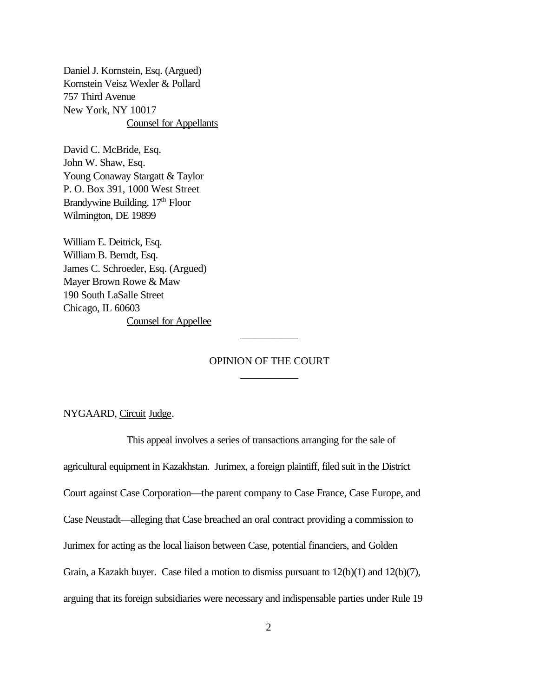Daniel J. Kornstein, Esq. (Argued) Kornstein Veisz Wexler & Pollard 757 Third Avenue New York, NY 10017 Counsel for Appellants

David C. McBride, Esq. John W. Shaw, Esq. Young Conaway Stargatt & Taylor P. O. Box 391, 1000 West Street Brandywine Building, 17<sup>th</sup> Floor Wilmington, DE 19899

William E. Deitrick, Esq. William B. Berndt, Esq. James C. Schroeder, Esq. (Argued) Mayer Brown Rowe & Maw 190 South LaSalle Street Chicago, IL 60603 Counsel for Appellee

# OPINION OF THE COURT \_\_\_\_\_\_\_\_\_\_\_

\_\_\_\_\_\_\_\_\_\_\_

NYGAARD, Circuit Judge.

This appeal involves a series of transactions arranging for the sale of agricultural equipment in Kazakhstan. Jurimex, a foreign plaintiff, filed suit in the District Court against Case Corporation—the parent company to Case France, Case Europe, and Case Neustadt—alleging that Case breached an oral contract providing a commission to Jurimex for acting as the local liaison between Case, potential financiers, and Golden Grain, a Kazakh buyer. Case filed a motion to dismiss pursuant to 12(b)(1) and 12(b)(7), arguing that its foreign subsidiaries were necessary and indispensable parties under Rule 19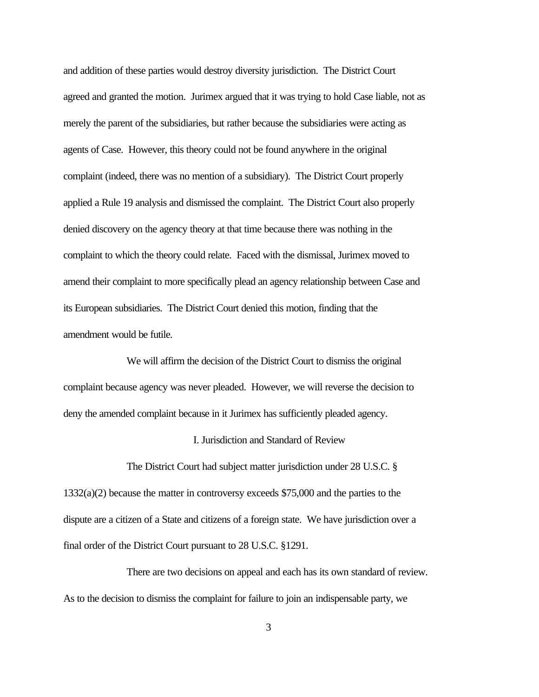and addition of these parties would destroy diversity jurisdiction. The District Court agreed and granted the motion. Jurimex argued that it was trying to hold Case liable, not as merely the parent of the subsidiaries, but rather because the subsidiaries were acting as agents of Case. However, this theory could not be found anywhere in the original complaint (indeed, there was no mention of a subsidiary). The District Court properly applied a Rule 19 analysis and dismissed the complaint. The District Court also properly denied discovery on the agency theory at that time because there was nothing in the complaint to which the theory could relate. Faced with the dismissal, Jurimex moved to amend their complaint to more specifically plead an agency relationship between Case and its European subsidiaries. The District Court denied this motion, finding that the amendment would be futile.

We will affirm the decision of the District Court to dismiss the original complaint because agency was never pleaded. However, we will reverse the decision to deny the amended complaint because in it Jurimex has sufficiently pleaded agency.

# I. Jurisdiction and Standard of Review

The District Court had subject matter jurisdiction under 28 U.S.C. § 1332(a)(2) because the matter in controversy exceeds \$75,000 and the parties to the dispute are a citizen of a State and citizens of a foreign state. We have jurisdiction over a final order of the District Court pursuant to 28 U.S.C. §1291.

There are two decisions on appeal and each has its own standard of review. As to the decision to dismiss the complaint for failure to join an indispensable party, we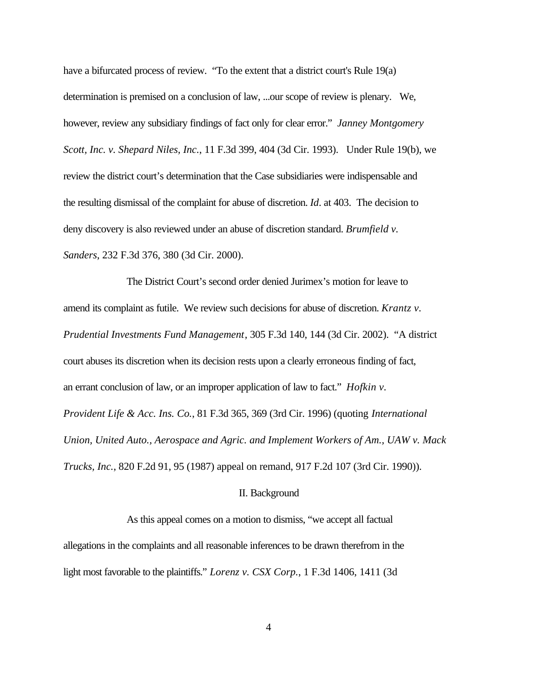have a bifurcated process of review. "To the extent that a district court's Rule 19(a) determination is premised on a conclusion of law, ...our scope of review is plenary. We, however, review any subsidiary findings of fact only for clear error." *Janney Montgomery Scott, Inc. v. Shepard Niles, Inc.*, 11 F.3d 399, 404 (3d Cir. 1993). Under Rule 19(b), we review the district court's determination that the Case subsidiaries were indispensable and the resulting dismissal of the complaint for abuse of discretion. *Id*. at 403. The decision to deny discovery is also reviewed under an abuse of discretion standard. *Brumfield v. Sanders*, 232 F.3d 376, 380 (3d Cir. 2000).

The District Court's second order denied Jurimex's motion for leave to amend its complaint as futile. We review such decisions for abuse of discretion. *Krantz v. Prudential Investments Fund Management*, 305 F.3d 140, 144 (3d Cir. 2002). "A district court abuses its discretion when its decision rests upon a clearly erroneous finding of fact, an errant conclusion of law, or an improper application of law to fact." *Hofkin v. Provident Life & Acc. Ins. Co.*, 81 F.3d 365, 369 (3rd Cir. 1996) (quoting *International Union, United Auto., Aerospace and Agric. and Implement Workers of Am., UAW v. Mack Trucks, Inc.*, 820 F.2d 91, 95 (1987) appeal on remand, 917 F.2d 107 (3rd Cir. 1990)).

#### II. Background

As this appeal comes on a motion to dismiss, "we accept all factual allegations in the complaints and all reasonable inferences to be drawn therefrom in the light most favorable to the plaintiffs." *Lorenz v. CSX Corp.*, 1 F.3d 1406, 1411 (3d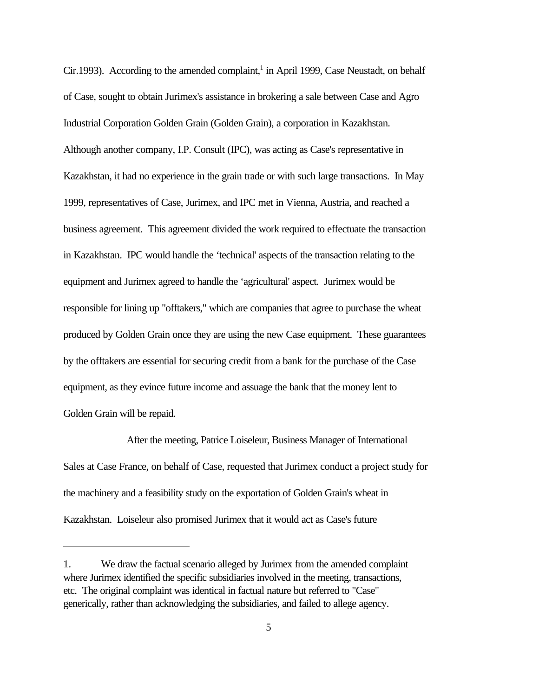Cir.1993). According to the amended complaint,<sup>1</sup> in April 1999, Case Neustadt, on behalf of Case, sought to obtain Jurimex's assistance in brokering a sale between Case and Agro Industrial Corporation Golden Grain (Golden Grain), a corporation in Kazakhstan. Although another company, I.P. Consult (IPC), was acting as Case's representative in Kazakhstan, it had no experience in the grain trade or with such large transactions. In May 1999, representatives of Case, Jurimex, and IPC met in Vienna, Austria, and reached a business agreement. This agreement divided the work required to effectuate the transaction in Kazakhstan. IPC would handle the 'technical' aspects of the transaction relating to the equipment and Jurimex agreed to handle the 'agricultural' aspect. Jurimex would be responsible for lining up "offtakers," which are companies that agree to purchase the wheat produced by Golden Grain once they are using the new Case equipment. These guarantees by the offtakers are essential for securing credit from a bank for the purchase of the Case equipment, as they evince future income and assuage the bank that the money lent to Golden Grain will be repaid.

After the meeting, Patrice Loiseleur, Business Manager of International Sales at Case France, on behalf of Case, requested that Jurimex conduct a project study for the machinery and a feasibility study on the exportation of Golden Grain's wheat in Kazakhstan. Loiseleur also promised Jurimex that it would act as Case's future

<sup>1.</sup> We draw the factual scenario alleged by Jurimex from the amended complaint where Jurimex identified the specific subsidiaries involved in the meeting, transactions, etc. The original complaint was identical in factual nature but referred to "Case" generically, rather than acknowledging the subsidiaries, and failed to allege agency.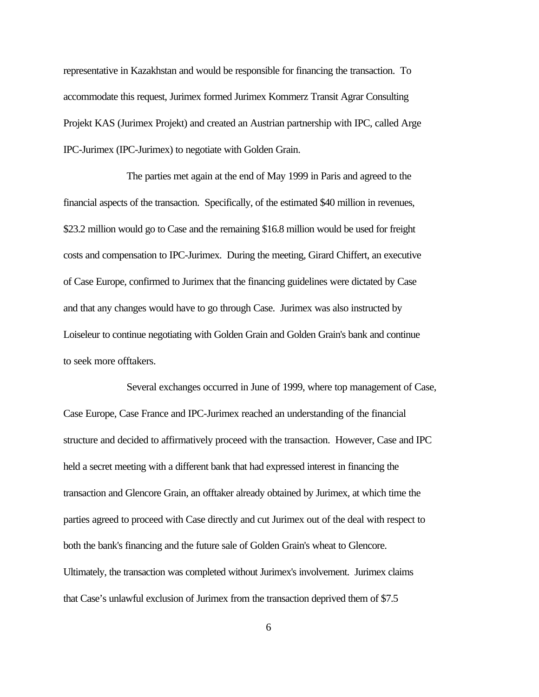representative in Kazakhstan and would be responsible for financing the transaction. To accommodate this request, Jurimex formed Jurimex Kommerz Transit Agrar Consulting Projekt KAS (Jurimex Projekt) and created an Austrian partnership with IPC, called Arge IPC-Jurimex (IPC-Jurimex) to negotiate with Golden Grain.

The parties met again at the end of May 1999 in Paris and agreed to the financial aspects of the transaction. Specifically, of the estimated \$40 million in revenues, \$23.2 million would go to Case and the remaining \$16.8 million would be used for freight costs and compensation to IPC-Jurimex. During the meeting, Girard Chiffert, an executive of Case Europe, confirmed to Jurimex that the financing guidelines were dictated by Case and that any changes would have to go through Case. Jurimex was also instructed by Loiseleur to continue negotiating with Golden Grain and Golden Grain's bank and continue to seek more offtakers.

Several exchanges occurred in June of 1999, where top management of Case, Case Europe, Case France and IPC-Jurimex reached an understanding of the financial structure and decided to affirmatively proceed with the transaction. However, Case and IPC held a secret meeting with a different bank that had expressed interest in financing the transaction and Glencore Grain, an offtaker already obtained by Jurimex, at which time the parties agreed to proceed with Case directly and cut Jurimex out of the deal with respect to both the bank's financing and the future sale of Golden Grain's wheat to Glencore. Ultimately, the transaction was completed without Jurimex's involvement. Jurimex claims that Case's unlawful exclusion of Jurimex from the transaction deprived them of \$7.5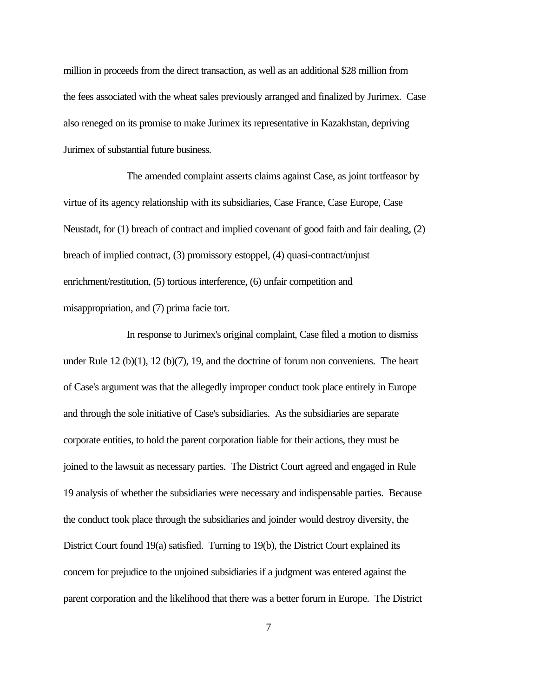million in proceeds from the direct transaction, as well as an additional \$28 million from the fees associated with the wheat sales previously arranged and finalized by Jurimex. Case also reneged on its promise to make Jurimex its representative in Kazakhstan, depriving Jurimex of substantial future business.

The amended complaint asserts claims against Case, as joint tortfeasor by virtue of its agency relationship with its subsidiaries, Case France, Case Europe, Case Neustadt, for (1) breach of contract and implied covenant of good faith and fair dealing, (2) breach of implied contract, (3) promissory estoppel, (4) quasi-contract/unjust enrichment/restitution, (5) tortious interference, (6) unfair competition and misappropriation, and (7) prima facie tort.

In response to Jurimex's original complaint, Case filed a motion to dismiss under Rule  $12$  (b)(1),  $12$  (b)(7), 19, and the doctrine of forum non conveniens. The heart of Case's argument was that the allegedly improper conduct took place entirely in Europe and through the sole initiative of Case's subsidiaries. As the subsidiaries are separate corporate entities, to hold the parent corporation liable for their actions, they must be joined to the lawsuit as necessary parties. The District Court agreed and engaged in Rule 19 analysis of whether the subsidiaries were necessary and indispensable parties. Because the conduct took place through the subsidiaries and joinder would destroy diversity, the District Court found 19(a) satisfied. Turning to 19(b), the District Court explained its concern for prejudice to the unjoined subsidiaries if a judgment was entered against the parent corporation and the likelihood that there was a better forum in Europe. The District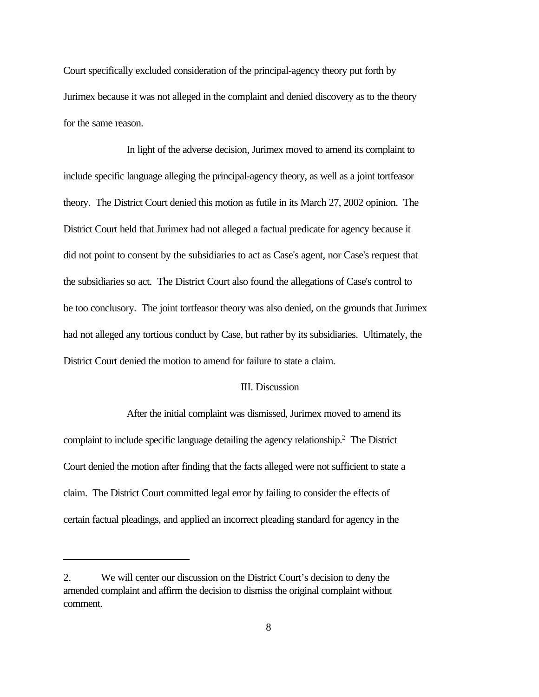Court specifically excluded consideration of the principal-agency theory put forth by Jurimex because it was not alleged in the complaint and denied discovery as to the theory for the same reason.

In light of the adverse decision, Jurimex moved to amend its complaint to include specific language alleging the principal-agency theory, as well as a joint tortfeasor theory. The District Court denied this motion as futile in its March 27, 2002 opinion. The District Court held that Jurimex had not alleged a factual predicate for agency because it did not point to consent by the subsidiaries to act as Case's agent, nor Case's request that the subsidiaries so act. The District Court also found the allegations of Case's control to be too conclusory. The joint tortfeasor theory was also denied, on the grounds that Jurimex had not alleged any tortious conduct by Case, but rather by its subsidiaries. Ultimately, the District Court denied the motion to amend for failure to state a claim.

# III. Discussion

After the initial complaint was dismissed, Jurimex moved to amend its complaint to include specific language detailing the agency relationship.<sup>2</sup> The District Court denied the motion after finding that the facts alleged were not sufficient to state a claim. The District Court committed legal error by failing to consider the effects of certain factual pleadings, and applied an incorrect pleading standard for agency in the

<sup>2.</sup> We will center our discussion on the District Court's decision to deny the amended complaint and affirm the decision to dismiss the original complaint without comment.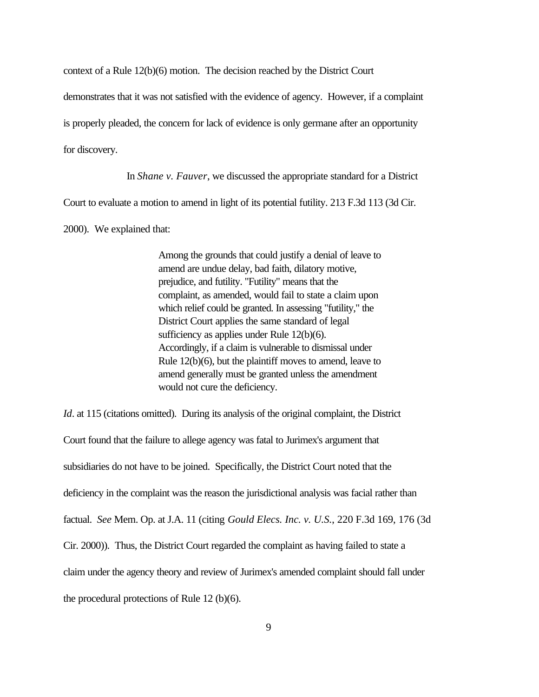context of a Rule 12(b)(6) motion. The decision reached by the District Court

demonstrates that it was not satisfied with the evidence of agency. However, if a complaint

is properly pleaded, the concern for lack of evidence is only germane after an opportunity

for discovery.

In *Shane v. Fauver*, we discussed the appropriate standard for a District

Court to evaluate a motion to amend in light of its potential futility. 213 F.3d 113 (3d Cir.

2000). We explained that:

Among the grounds that could justify a denial of leave to amend are undue delay, bad faith, dilatory motive, prejudice, and futility. "Futility" means that the complaint, as amended, would fail to state a claim upon which relief could be granted. In assessing "futility," the District Court applies the same standard of legal sufficiency as applies under Rule 12(b)(6). Accordingly, if a claim is vulnerable to dismissal under Rule 12(b)(6), but the plaintiff moves to amend, leave to amend generally must be granted unless the amendment would not cure the deficiency.

*Id.* at 115 (citations omitted). During its analysis of the original complaint, the District Court found that the failure to allege agency was fatal to Jurimex's argument that subsidiaries do not have to be joined. Specifically, the District Court noted that the deficiency in the complaint was the reason the jurisdictional analysis was facial rather than factual. *See* Mem. Op. at J.A. 11 (citing *Gould Elecs. Inc. v. U.S.*, 220 F.3d 169, 176 (3d Cir. 2000)). Thus, the District Court regarded the complaint as having failed to state a claim under the agency theory and review of Jurimex's amended complaint should fall under the procedural protections of Rule 12 (b)(6).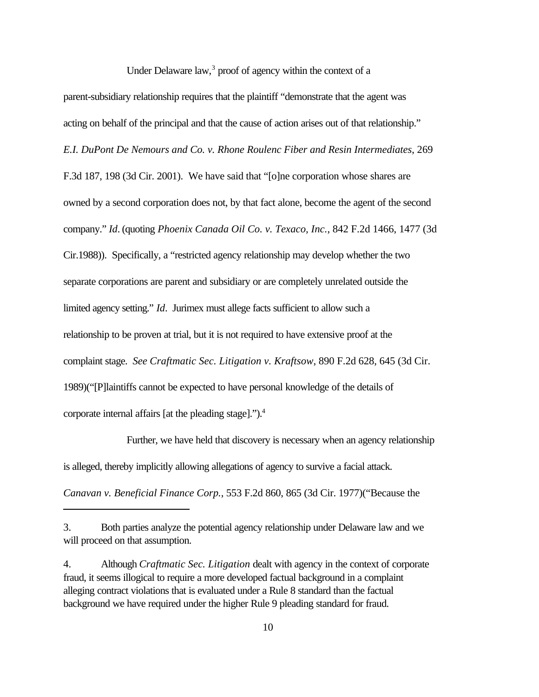Under Delaware law,<sup>3</sup> proof of agency within the context of a

parent-subsidiary relationship requires that the plaintiff "demonstrate that the agent was acting on behalf of the principal and that the cause of action arises out of that relationship." *E.I. DuPont De Nemours and Co. v. Rhone Roulenc Fiber and Resin Intermediates*, 269 F.3d 187, 198 (3d Cir. 2001). We have said that "[o]ne corporation whose shares are owned by a second corporation does not, by that fact alone, become the agent of the second company." *Id*. (quoting *Phoenix Canada Oil Co. v. Texaco, Inc.*, 842 F.2d 1466, 1477 (3d Cir.1988)). Specifically, a "restricted agency relationship may develop whether the two separate corporations are parent and subsidiary or are completely unrelated outside the limited agency setting." *Id*. Jurimex must allege facts sufficient to allow such a relationship to be proven at trial, but it is not required to have extensive proof at the complaint stage. *See Craftmatic Sec. Litigation v. Kraftsow*, 890 F.2d 628, 645 (3d Cir. 1989)("[P]laintiffs cannot be expected to have personal knowledge of the details of corporate internal affairs [at the pleading stage].").<sup>4</sup>

Further, we have held that discovery is necessary when an agency relationship is alleged, thereby implicitly allowing allegations of agency to survive a facial attack.

*Canavan v. Beneficial Finance Corp.*, 553 F.2d 860, 865 (3d Cir. 1977)("Because the

<sup>3.</sup> Both parties analyze the potential agency relationship under Delaware law and we will proceed on that assumption.

<sup>4.</sup> Although *Craftmatic Sec. Litigation* dealt with agency in the context of corporate fraud, it seems illogical to require a more developed factual background in a complaint alleging contract violations that is evaluated under a Rule 8 standard than the factual background we have required under the higher Rule 9 pleading standard for fraud.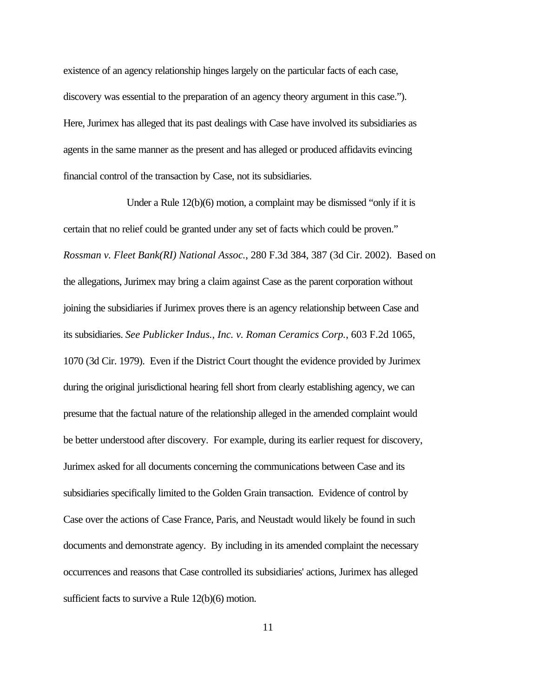existence of an agency relationship hinges largely on the particular facts of each case, discovery was essential to the preparation of an agency theory argument in this case."). Here, Jurimex has alleged that its past dealings with Case have involved its subsidiaries as agents in the same manner as the present and has alleged or produced affidavits evincing financial control of the transaction by Case, not its subsidiaries.

Under a Rule 12(b)(6) motion, a complaint may be dismissed "only if it is certain that no relief could be granted under any set of facts which could be proven." *Rossman v. Fleet Bank(RI) National Assoc.*, 280 F.3d 384, 387 (3d Cir. 2002). Based on the allegations, Jurimex may bring a claim against Case as the parent corporation without joining the subsidiaries if Jurimex proves there is an agency relationship between Case and its subsidiaries. *See Publicker Indus., Inc. v. Roman Ceramics Corp.*, 603 F.2d 1065, 1070 (3d Cir. 1979). Even if the District Court thought the evidence provided by Jurimex during the original jurisdictional hearing fell short from clearly establishing agency, we can presume that the factual nature of the relationship alleged in the amended complaint would be better understood after discovery. For example, during its earlier request for discovery, Jurimex asked for all documents concerning the communications between Case and its subsidiaries specifically limited to the Golden Grain transaction. Evidence of control by Case over the actions of Case France, Paris, and Neustadt would likely be found in such documents and demonstrate agency. By including in its amended complaint the necessary occurrences and reasons that Case controlled its subsidiaries' actions, Jurimex has alleged sufficient facts to survive a Rule 12(b)(6) motion.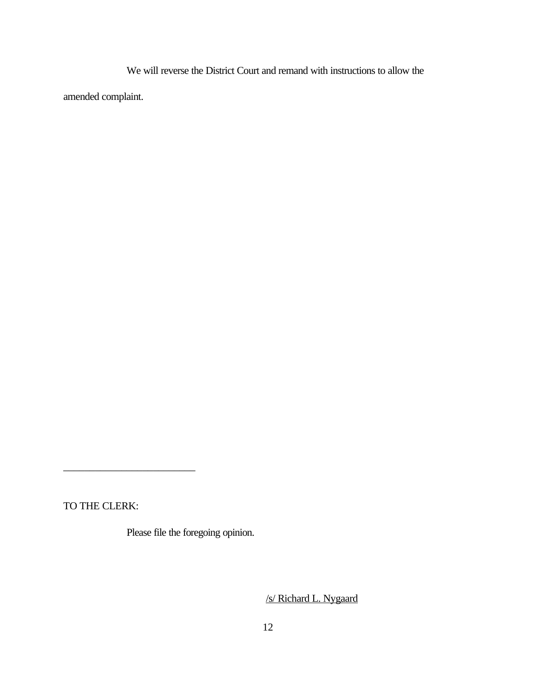We will reverse the District Court and remand with instructions to allow the

amended complaint.

TO THE CLERK:

\_\_\_\_\_\_\_\_\_\_\_\_\_\_\_\_\_\_\_\_\_\_\_\_\_

Please file the foregoing opinion.

/s/ Richard L. Nygaard